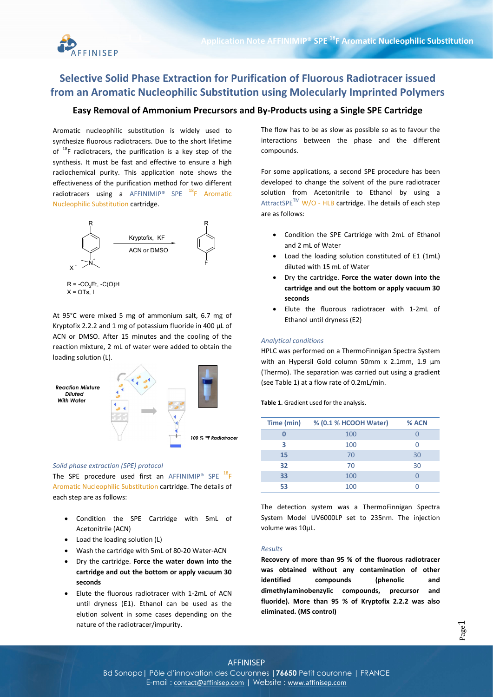

# Selective Solid Phase Extraction for Purification of Fluorous Radiotracer issued from an Aromatic Nucleophilic Substitution using Molecularly Imprinted Polymers

# Easy Removal of Ammonium Precursors and By-Products using a Single SPE Cartridge

 Aromatic nucleophilic substitution is widely used to synthesize fluorous radiotracers. Due to the short lifetime of  $^{18}$ F radiotracers, the purification is a key step of the synthesis. It must be fast and effective to ensure a high radiochemical purity. This application note shows the effectiveness of the purification method for two different radiotracers using a AFFINIMIP<sup>®</sup> SPE  $^{18}$ F Aromatic Nucleophilic Substitution cartridge.



At 95°C were mixed 5 mg of ammonium salt, 6.7 mg of Kryptofix 2.2.2 and 1 mg of potassium fluoride in 400 µL of ACN or DMSO. After 15 minutes and the cooling of the reaction mixture, 2 mL of water were added to obtain the loading solution (L).



#### Solid phase extraction (SPE) protocol

The SPE procedure used first an AFFINIMIP® SPE  $^{18}$ F Aromatic Nucleophilic Substitution cartridge. The details of each step are as follows:

- Condition the SPE Cartridge with 5mL of Acetonitrile (ACN)
- Load the loading solution (L)
- Wash the cartridge with 5mL of 80-20 Water-ACN
- Dry the cartridge. Force the water down into the cartridge and out the bottom or apply vacuum 30 seconds
- Elute the fluorous radiotracer with 1-2mL of ACN until dryness (E1). Ethanol can be used as the elution solvent in some cases depending on the nature of the radiotracer/impurity.

The flow has to be as slow as possible so as to favour the interactions between the phase and the different compounds.

For some applications, a second SPE procedure has been developed to change the solvent of the pure radiotracer solution from Acetonitrile to Ethanol by using a  $\text{AttractsPE}^{\text{TM}}$  W/O - HLB cartridge. The details of each step are as follows:

- Condition the SPE Cartridge with 2mL of Ethanol and 2 mL of Water
- Load the loading solution constituted of E1 (1mL) diluted with 15 mL of Water
- Dry the cartridge. Force the water down into the cartridge and out the bottom or apply vacuum 30 seconds
- Elute the fluorous radiotracer with 1-2mL of Ethanol until dryness (E2)

#### Analytical conditions

HPLC was performed on a ThermoFinnigan Spectra System with an Hypersil Gold column 50mm x 2.1mm, 1.9 µm (Thermo). The separation was carried out using a gradient (see Table 1) at a flow rate of 0.2mL/min.

Table 1. Gradient used for the analysis.

| Time (min) | % (0.1 % HCOOH Water) | % ACN |
|------------|-----------------------|-------|
|            | 100                   |       |
| ર          | 100                   |       |
| 15         | 70                    | 30    |
| 32         | 70                    | 30    |
| 33         | 100                   |       |
| 53         | 100                   |       |

The detection system was a ThermoFinnigan Spectra System Model UV6000LP set to 235nm. The injection volume was 10µL.

## Results

Recovery of more than 95 % of the fluorous radiotracer was obtained without any contamination of other identified compounds (phenolic and dimethylaminobenzylic compounds, precursor and fluoride). More than 95 % of Kryptofix 2.2.2 was also eliminated. (MS control)

AFFINISEP Bd Sonopa | Pôle d'innovation des Couronnes | 76650 Petit couronne | FRANCE

E-mail: contact@affinisep.com | Website : www.affinisep.com